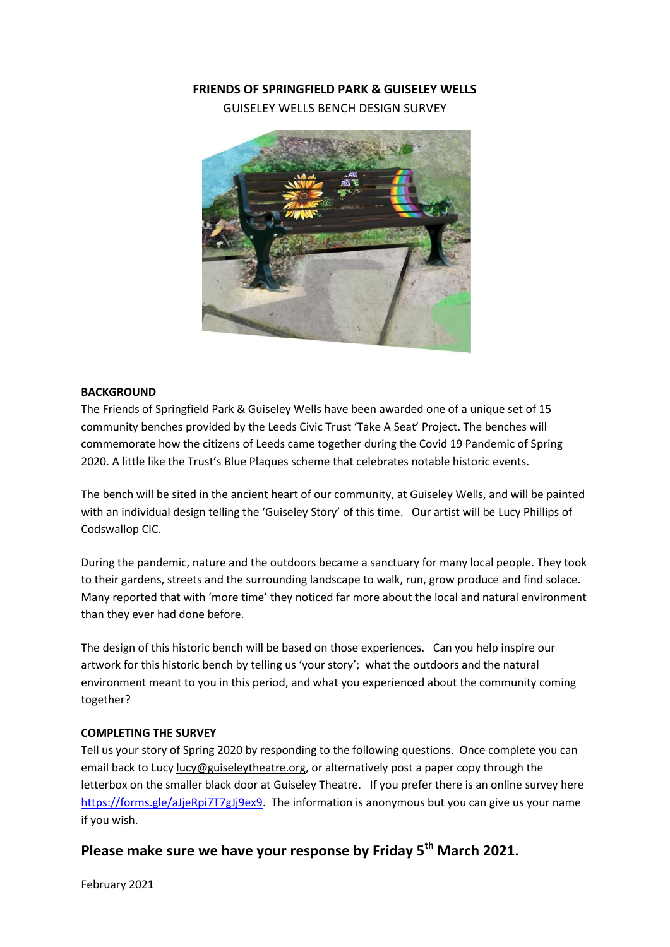## **FRIENDS OF SPRINGFIELD PARK & GUISELEY WELLS**

GUISELEY WELLS BENCH DESIGN SURVEY



### **BACKGROUND**

The Friends of Springfield Park & Guiseley Wells have been awarded one of a unique set of 15 community benches provided by the Leeds Civic Trust 'Take A Seat' Project. The benches will commemorate how the citizens of Leeds came together during the Covid 19 Pandemic of Spring 2020. A little like the Trust's Blue Plaques scheme that celebrates notable historic events.

The bench will be sited in the ancient heart of our community, at Guiseley Wells, and will be painted with an individual design telling the 'Guiseley Story' of this time. Our artist will be Lucy Phillips of Codswallop CIC.

During the pandemic, nature and the outdoors became a sanctuary for many local people. They took to their gardens, streets and the surrounding landscape to walk, run, grow produce and find solace. Many reported that with 'more time' they noticed far more about the local and natural environment than they ever had done before.

The design of this historic bench will be based on those experiences. Can you help inspire our artwork for this historic bench by telling us 'your story'; what the outdoors and the natural environment meant to you in this period, and what you experienced about the community coming together?

### **COMPLETING THE SURVEY**

Tell us your story of Spring 2020 by responding to the following questions. Once complete you can email back to Lucy [lucy@guiseleytheatre.org,](mailto:lucy@guiseleytheatre.org) or alternatively post a paper copy through the letterbox on the smaller black door at Guiseley Theatre. If you prefer there is an online survey here [https://forms.gle/aJjeRpi7T7gJj9ex9.](https://forms.gle/aJjeRpi7T7gJj9ex9) The information is anonymous but you can give us your name if you wish.

# **Please make sure we have your response by Friday 5th March 2021.**

February 2021